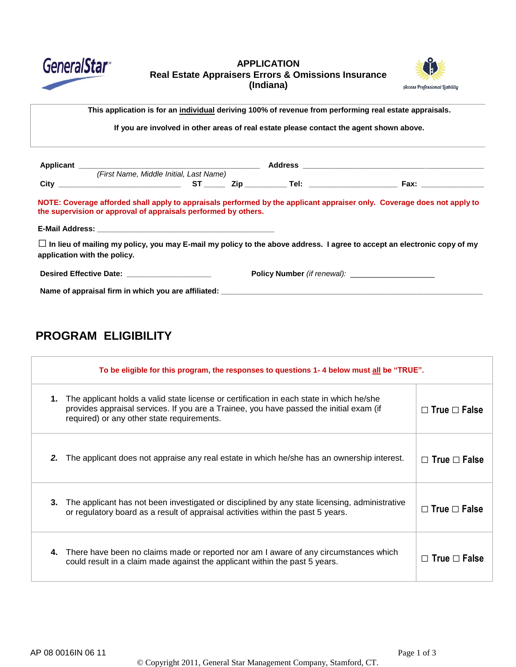

### **APPLICATION Real Estate Appraisers Errors & Omissions Insurance (Indiana)**



**This application is for an individual deriving 100% of revenue from performing real estate appraisals.**

**If you are involved in other areas of real estate please contact the agent shown above.**

|                                                                                                                                                                | (First Name, Middle Initial, Last Name) |  |                                                                                                                         |
|----------------------------------------------------------------------------------------------------------------------------------------------------------------|-----------------------------------------|--|-------------------------------------------------------------------------------------------------------------------------|
|                                                                                                                                                                |                                         |  | City <b>Example 2018</b> ST Zip Tel: <b>Example 2018</b> ST Zip Tel:                                                    |
| the supervision or approval of appraisals performed by others.                                                                                                 |                                         |  | NOTE: Coverage afforded shall apply to appraisals performed by the applicant appraiser only. Coverage does not apply to |
|                                                                                                                                                                |                                         |  |                                                                                                                         |
|                                                                                                                                                                |                                         |  |                                                                                                                         |
| $\Box$ In lieu of mailing my policy, you may E-mail my policy to the above address. I agree to accept an electronic copy of my<br>application with the policy. |                                         |  |                                                                                                                         |
| Desired Effective Date: New York 1999                                                                                                                          |                                         |  |                                                                                                                         |

# **PROGRAM ELIGIBILITY**

| To be eligible for this program, the responses to questions 1-4 below must all be "TRUE". |                                                                                                                                                                                                                                   |                          |  |
|-------------------------------------------------------------------------------------------|-----------------------------------------------------------------------------------------------------------------------------------------------------------------------------------------------------------------------------------|--------------------------|--|
| 1.                                                                                        | The applicant holds a valid state license or certification in each state in which he/she<br>provides appraisal services. If you are a Trainee, you have passed the initial exam (if<br>required) or any other state requirements. | $\Box$ True $\Box$ False |  |
| 2.                                                                                        | The applicant does not appraise any real estate in which he/she has an ownership interest.                                                                                                                                        | $\Box$ True $\Box$ False |  |
| 3.                                                                                        | The applicant has not been investigated or disciplined by any state licensing, administrative<br>or regulatory board as a result of appraisal activities within the past 5 years.                                                 | $\Box$ True $\Box$ False |  |
| 4.                                                                                        | There have been no claims made or reported nor am I aware of any circumstances which<br>could result in a claim made against the applicant within the past 5 years.                                                               | $\Box$ True $\Box$ False |  |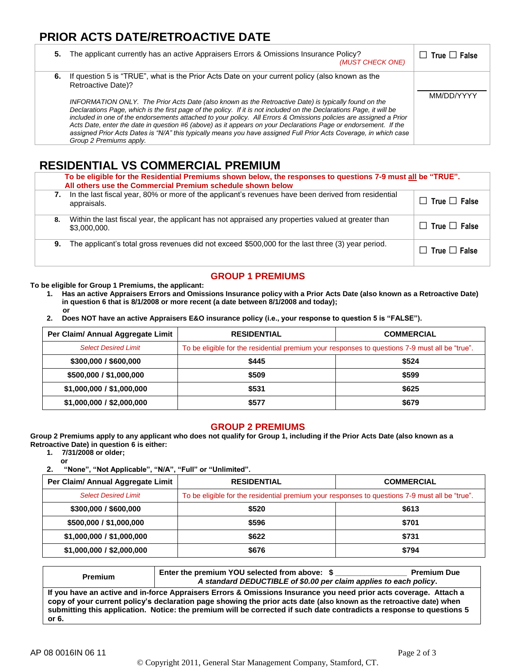## **PRIOR ACTS DATE/RETROACTIVE DATE**

| 5. | The applicant currently has an active Appraisers Errors & Omissions Insurance Policy?<br>(MUST CHECK ONE)                                                                                                                                                                                                                                                                                                                                                                                                                                                                                                                                                                                                                                       | $\Box$ True $\Box$ False |
|----|-------------------------------------------------------------------------------------------------------------------------------------------------------------------------------------------------------------------------------------------------------------------------------------------------------------------------------------------------------------------------------------------------------------------------------------------------------------------------------------------------------------------------------------------------------------------------------------------------------------------------------------------------------------------------------------------------------------------------------------------------|--------------------------|
|    | 6. If question 5 is "TRUE", what is the Prior Acts Date on your current policy (also known as the<br>Retroactive Date)?<br>INFORMATION ONLY. The Prior Acts Date (also known as the Retroactive Date) is typically found on the<br>Declarations Page, which is the first page of the policy. If it is not included on the Declarations Page, it will be<br>included in one of the endorsements attached to your policy. All Errors & Omissions policies are assigned a Prior<br>Acts Date, enter the date in question #6 (above) as it appears on your Declarations Page or endorsement. If the<br>assigned Prior Acts Dates is "N/A" this typically means you have assigned Full Prior Acts Coverage, in which case<br>Group 2 Premiums apply. | MM/DD/YYYY               |

## **RESIDENTIAL VS COMMERCIAL PREMIUM**

|    | To be eligible for the Residential Premiums shown below, the responses to questions 7-9 must all be "TRUE".<br>All others use the Commercial Premium schedule shown below |                          |  |  |
|----|---------------------------------------------------------------------------------------------------------------------------------------------------------------------------|--------------------------|--|--|
| 7. | In the last fiscal year, 80% or more of the applicant's revenues have been derived from residential<br>appraisals.                                                        | $\Box$ True $\Box$ False |  |  |
| 8. | Within the last fiscal year, the applicant has not appraised any properties valued at greater than<br>\$3,000,000.                                                        | $\Box$ True $\Box$ False |  |  |
| 9. | The applicant's total gross revenues did not exceed \$500,000 for the last three (3) year period.                                                                         | $\Box$ True $\Box$ False |  |  |

## **GROUP 1 PREMIUMS**

**To be eligible for Group 1 Premiums, the applicant:**

- **1. Has an active Appraisers Errors and Omissions Insurance policy with a Prior Acts Date (also known as a Retroactive Date) in question 6 that is 8/1/2008 or more recent (a date between 8/1/2008 and today); or**
- **2. Does NOT have an active Appraisers E&O insurance policy (i.e., your response to question 5 is "FALSE").**

| Per Claim/ Annual Aggregate Limit | <b>RESIDENTIAL</b>                                                                             | <b>COMMERCIAL</b> |  |
|-----------------------------------|------------------------------------------------------------------------------------------------|-------------------|--|
| <b>Select Desired Limit</b>       | To be eligible for the residential premium your responses to questions 7-9 must all be "true". |                   |  |
| \$300,000 / \$600,000             | \$445                                                                                          | \$524             |  |
| \$500,000 / \$1,000,000           | \$509                                                                                          | \$599             |  |
| \$1,000,000 / \$1,000,000         | \$531                                                                                          | \$625             |  |
| \$1,000,000 / \$2,000,000         | \$577                                                                                          | \$679             |  |

#### **GROUP 2 PREMIUMS**

**Group 2 Premiums apply to any applicant who does not qualify for Group 1, including if the Prior Acts Date (also known as a Retroactive Date) in question 6 is either:**

**1. 7/31/2008 or older;**

**or 2. "None", "Not Applicable", "N/A", "Full" or "Unlimited".**

| Per Claim/ Annual Aggregate Limit | <b>RESIDENTIAL</b>                                                                             | <b>COMMERCIAL</b> |  |
|-----------------------------------|------------------------------------------------------------------------------------------------|-------------------|--|
| <b>Select Desired Limit</b>       | To be eligible for the residential premium your responses to questions 7-9 must all be "true". |                   |  |
| \$300,000 / \$600,000             | \$520                                                                                          | \$613             |  |
| \$500,000 / \$1,000,000           | \$596                                                                                          | \$701             |  |
| \$1,000,000 / \$1,000,000         | \$622                                                                                          | \$731             |  |
| \$1,000,000 / \$2,000,000         | \$676                                                                                          | \$794             |  |

| <b>Premium</b>                                                                                                                                                                                                                                                                                                                                                              | Enter the premium YOU selected from above: \$<br>A standard DEDUCTIBLE of \$0.00 per claim applies to each policy. | <b>Premium Due</b> |
|-----------------------------------------------------------------------------------------------------------------------------------------------------------------------------------------------------------------------------------------------------------------------------------------------------------------------------------------------------------------------------|--------------------------------------------------------------------------------------------------------------------|--------------------|
| If you have an active and in-force Appraisers Errors & Omissions Insurance you need prior acts coverage. Attach a<br>copy of your current policy's declaration page showing the prior acts date (also known as the retroactive date) when<br>submitting this application. Notice: the premium will be corrected if such date contradicts a response to questions 5<br>or 6. |                                                                                                                    |                    |